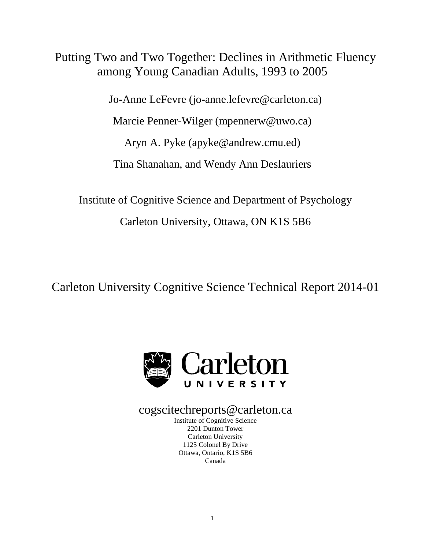# Putting Two and Two Together: Declines in Arithmetic Fluency among Young Canadian Adults, 1993 to 2005

Jo-Anne LeFevre (jo-anne.lefevre@carleton.ca)

Marcie Penner-Wilger (mpennerw@uwo.ca)

Aryn A. Pyke (apyke@andrew.cmu.ed)

Tina Shanahan, and Wendy Ann Deslauriers

Institute of Cognitive Science and Department of Psychology Carleton University, Ottawa, ON K1S 5B6

Carleton University Cognitive Science Technical Report 2014-01



## cogscitechreports@carleton.ca

Institute of Cognitive Science 2201 Dunton Tower Carleton University 1125 Colonel By Drive Ottawa, Ontario, K1S 5B6 Canada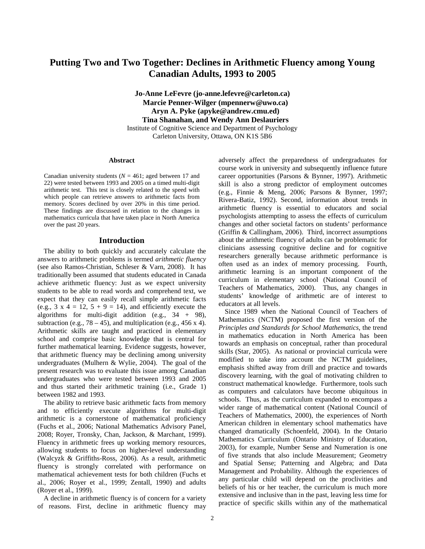## **Putting Two and Two Together: Declines in Arithmetic Fluency among Young Canadian Adults, 1993 to 2005**

**Jo-Anne LeFevre (jo-anne.lefevre@carleton.ca) Marcie Penner-Wilger (mpennerw@uwo.ca) Aryn A. Pyke (apyke@andrew.cmu.ed) Tina Shanahan, and Wendy Ann Deslauriers** Institute of Cognitive Science and Department of Psychology Carleton University, Ottawa, ON K1S 5B6

#### **Abstract**

Canadian university students ( $N = 461$ ; aged between 17 and 22) were tested between 1993 and 2005 on a timed multi-digit arithmetic test. This test is closely related to the speed with which people can retrieve answers to arithmetic facts from memory. Scores declined by over 20% in this time period. These findings are discussed in relation to the changes in mathematics curricula that have taken place in North America over the past 20 years.

## **Introduction**

The ability to both quickly and accurately calculate the answers to arithmetic problems is termed *arithmetic fluency*  (see also Ramos-Christian, Schleser & Varn, 2008). It has traditionally been assumed that students educated in Canada achieve arithmetic fluency: Just as we expect university students to be able to read words and comprehend text, we expect that they can easily recall simple arithmetic facts (e.g.,  $3 \times 4 = 12$ ,  $5 + 9 = 14$ ), and efficiently execute the algorithms for multi-digit addition (e.g., 34 + 98), subtraction (e.g.,  $78 - 45$ ), and multiplication (e.g.,  $456 \times 4$ ). Arithmetic skills are taught and practiced in elementary school and comprise basic knowledge that is central for further mathematical learning. Evidence suggests, however, that arithmetic fluency may be declining among university undergraduates (Mulhern & Wylie, 2004). The goal of the present research was to evaluate this issue among Canadian undergraduates who were tested between 1993 and 2005 and thus started their arithmetic training (i.e., Grade 1) between 1982 and 1993.

The ability to retrieve basic arithmetic facts from memory and to efficiently execute algorithms for multi-digit arithmetic is a cornerstone of mathematical proficiency (Fuchs et al., 2006; National Mathematics Advisory Panel, 2008; Royer, Tronsky, Chan, Jackson, & Marchant, 1999). Fluency in arithmetic frees up working memory resources, allowing students to focus on higher-level understanding (Walcyzk & Griffiths-Ross, 2006). As a result, arithmetic fluency is strongly correlated with performance on mathematical achievement tests for both children (Fuchs et al., 2006; Royer et al., 1999; Zentall, 1990) and adults (Royer et al., 1999).

A decline in arithmetic fluency is of concern for a variety of reasons. First, decline in arithmetic fluency may

adversely affect the preparedness of undergraduates for course work in university and subsequently influence future career opportunities (Parsons & Bynner, 1997). Arithmetic skill is also a strong predictor of employment outcomes (e.g., Finnie & Meng, 2006; Parsons & Bynner, 1997; Rivera-Batiz, 1992). Second, information about trends in arithmetic fluency is essential to educators and social psychologists attempting to assess the effects of curriculum changes and other societal factors on students' performance (Griffin & Callingham, 2006). Third, incorrect assumptions about the arithmetic fluency of adults can be problematic for clinicians assessing cognitive decline and for cognitive researchers generally because arithmetic performance is often used as an index of memory processing. Fourth, arithmetic learning is an important component of the curriculum in elementary school (National Council of Teachers of Mathematics, 2000). Thus, any changes in students' knowledge of arithmetic are of interest to educators at all levels.

Since 1989 when the National Council of Teachers of Mathematics (NCTM) proposed the first version of the *Principles and Standards for School Mathematics*, the trend in mathematics education in North America has been towards an emphasis on conceptual, rather than procedural skills (Star, 2005). As national or provincial curricula were modified to take into account the NCTM guidelines, emphasis shifted away from drill and practice and towards discovery learning, with the goal of motivating children to construct mathematical knowledge. Furthermore, tools such as computers and calculators have become ubiquitous in schools. Thus, as the curriculum expanded to encompass a wider range of mathematical content (National Council of Teachers of Mathematics, 2000), the experiences of North American children in elementary school mathematics have changed dramatically (Schoenfeld, 2004). In the Ontario Mathematics Curriculum (Ontario Ministry of Education, 2003), for example, Number Sense and Numeration is one of five strands that also include Measurement; Geometry and Spatial Sense; Patterning and Algebra; and Data Management and Probability. Although the experiences of any particular child will depend on the proclivities and beliefs of his or her teacher, the curriculum is much more extensive and inclusive than in the past, leaving less time for practice of specific skills within any of the mathematical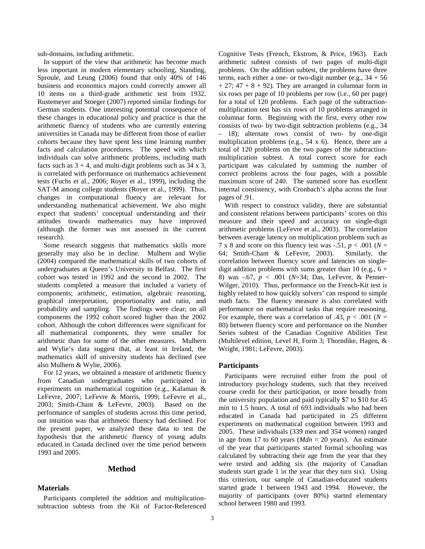sub-domains, including arithmetic.

In support of the view that arithmetic has become much less important in modern elementary schooling, Standing, Sproule, and Leung (2006) found that only 40% of 146 business and economics majors could correctly answer all 10 items on a third-grade arithmetic test from 1932. Rustemeyer and Stoeger (2007) reported similar findings for German students. One interesting potential consequence of these changes in educational policy and practice is that the arithmetic fluency of students who are currently entering universities in Canada may be different from those of earlier cohorts because they have spent less time learning number facts and calculation procedures. The speed with which individuals can solve arithmetic problems, including math facts such as  $3 + 4$ , and multi-digit problems such as  $34 \times 3$ , is correlated with performance on mathematics achievement tests (Fuchs et al., 2006; Royer et al., 1999), including the SAT-M among college students (Royer et al., 1999). Thus, changes in computational fluency are relevant for understanding mathematical achievement. We also might expect that students' conceptual understanding and their attitudes towards mathematics may have improved (although the former was not assessed in the current research).

Some research suggests that mathematics skills more generally may also be in decline. Mulhern and Wylie (2004) compared the mathematical skills of two cohorts of undergraduates at Queen's University in Belfast. The first cohort was tested in 1992 and the second in 2002. The students completed a measure that included a variety of components; arithmetic, estimation, algebraic reasoning, graphical interpretation, proportionality and ratio, and probability and sampling. The findings were clear; on all components the 1992 cohort scored higher than the 2002 cohort. Although the cohort differences were significant for all mathematical components, they were smaller for arithmetic than for some of the other measures. Mulhern and Wylie's data suggest that, at least in Ireland, the mathematics skill of university students has declined (see also Mulhern & Wylie, 2006).

For 12 years, we obtained a measure of arithmetic fluency from Canadian undergraduates who participated in experiments on mathematical cognition (e.g., Kalaman & LeFevre, 2007; LeFevre & Morris, 1999; LeFevre et al., 2003; Smith-Chant & LeFevre, 2003). Based on the performance of samples of students across this time period, our intuition was that arithmetic fluency had declined. For the present paper, we analyzed these data to test the hypothesis that the arithmetic fluency of young adults educated in Canada declined over the time period between 1993 and 2005.

## **Method**

## **Materials**

Participants completed the addition and multiplicationsubtraction subtests from the Kit of Factor-Referenced Cognitive Tests (French, Ekstrom, & Price, 1963). Each arithmetic subtest consists of two pages of multi-digit problems. On the addition subtest, the problems have three terms, each either a one- or two-digit number (e.g.,  $34 + 56$ )  $+ 27$ ; 47  $+ 8 + 92$ ). They are arranged in columnar form in six rows per page of 10 problems per row (i.e., 60 per page) for a total of 120 problems. Each page of the subtractionmultiplication test has six rows of 10 problems arranged in columnar form. Beginning with the first, every other row consists of two- by two-digit subtraction problems (e.g., 34 – 18); alternate rows consist of two- by one-digit multiplication problems (e.g., 54 x 6). Hence, there are a total of 120 problems on the two pages of the subtractionmultiplication subtest. A total correct score for each participant was calculated by summing the number of correct problems across the four pages, with a possible maximum score of 240. The summed score has excellent internal consistency, with Cronbach's alpha across the four pages of .91.

With respect to construct validity, there are substantial and consistent relations between participants' scores on this measure and their speed and accuracy on single-digit arithmetic problems (LeFevre et al., 2003). The correlation between average latency on multiplication problems such as 7 x 8 and score on this fluency test was  $-0.51$ ,  $p < 0.001$  ( $N = 64$ : Smith-Chant & LeFevre, 2003). Similarly, the 64; Smith-Chant & LeFevre, 2003). correlation between fluency score and latencies on singledigit addition problems with sums greater than 10 (e.g.,  $6 +$ 8) was -.67, *p* < .001 (*N*=34; Das, LeFevre, & Penner-Wilger, 2010). Thus, performance on the French-Kit test is highly related to how quickly solvers' can respond to simple math facts. The fluency measure is also correlated with performance on mathematical tasks that require reasoning. For example, there was a correlation of .43,  $p < .001$  ( $N =$ 80) between fluency score and performance on the Number Series subtest of the Canadian Cognitive Abilities Test (Multilevel edition, Level H, Form 3; Thorndike, Hagen, & Wright, 1981; LeFevre, 2003).

## **Participants**

Participants were recruited either from the pool of introductory psychology students, such that they received course credit for their participation, or more broadly from the university population and paid typically \$7 to \$10 for 45 min to 1.5 hours. A total of 693 individuals who had been educated in Canada had participated in 25 different experiments on mathematical cognition between 1993 and 2005. These individuals (339 men and 354 women) ranged in age from 17 to 60 years (*Mdn* = 20 years). An estimate of the year that participants started formal schooling was calculated by subtracting their age from the year that they were tested and adding six (the majority of Canadian students start grade 1 in the year that they turn six). Using this criterion, our sample of Canadian-educated students started grade 1 between 1943 and 1994. However, the majority of participants (over 80%) started elementary school between 1980 and 1993.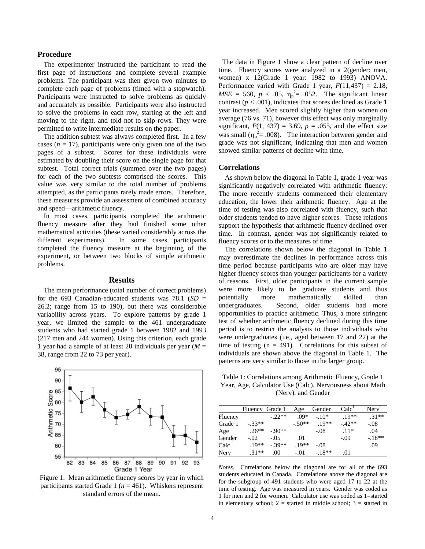#### **Procedure**

The experimenter instructed the participant to read the first page of instructions and complete several example problems. The participant was then given two minutes to complete each page of problems (timed with a stopwatch). Participants were instructed to solve problems as quickly and accurately as possible. Participants were also instructed to solve the problems in each row, starting at the left and moving to the right, and told not to skip rows. They were permitted to write intermediate results on the paper.

The addition subtest was always completed first. In a few cases  $(n = 17)$ , participants were only given one of the two pages of a subtest. Scores for these individuals were estimated by doubling their score on the single page for that subtest. Total correct trials (summed over the two pages) for each of the two subtests comprised the scores. This value was very similar to the total number of problems attempted, as the participants rarely made errors. Therefore, these measures provide an assessment of combined accuracy and speed—arithmetic fluency.

In most cases, participants completed the arithmetic fluency measure after they had finished some other mathematical activities (these varied considerably across the different experiments). In some cases participants completed the fluency measure at the beginning of the experiment, or between two blocks of simple arithmetic problems.

#### **Results**

The mean performance (total number of correct problems) for the 693 Canadian-educated students was 78.1 (*SD* = 26.2; range from 15 to 190), but there was considerable variability across years. To explore patterns by grade 1 year, we limited the sample to the 461 undergraduate students who had started grade 1 between 1982 and 1993 (217 men and 244 women). Using this criterion, each grade 1 year had a sample of at least 20 individuals per year (*M* = 38, range from 22 to 73 per year).



Figure 1. Mean arithmetic fluency scores by year in which participants started Grade 1 ( $n = 461$ ). Whiskers represent standard errors of the mean.

 The data in Figure 1 show a clear pattern of decline over time. Fluency scores were analyzed in a 2(gender: men, women) x 12(Grade 1 year: 1982 to 1993) ANOVA. Performance varied with Grade 1 year,  $F(11,437) = 2.18$ ,  $MSE = 560$ ,  $p < .05$ ,  $\eta_p^2 = .052$ . The significant linear contrast  $(p < .001)$ , indicates that scores declined as Grade 1 year increased. Men scored slightly higher than women on average (76 vs. 71), however this effect was only marginally significant,  $F(1, 437) = 3.69$ ,  $p = .055$ , and the effect size was small ( $\eta_p^2 = .008$ ). The interaction between gender and grade was not significant, indicating that men and women showed similar patterns of decline with time.

## **Correlations**

As shown below the diagonal in Table 1, grade 1 year was significantly negatively correlated with arithmetic fluency: The more recently students commenced their elementary education, the lower their arithmetic fluency. Age at the time of testing was also correlated with fluency, such that older students tended to have higher scores. These relations support the hypothesis that arithmetic fluency declined over time. In contrast, gender was not significantly related to fluency scores or to the measures of time.

The correlations shown below the diagonal in Table 1 may overestimate the declines in performance across this time period because participants who are older may have higher fluency scores than younger participants for a variety of reasons. First, older participants in the current sample were more likely to be graduate students and thus potentially more mathematically skilled than undergraduates. Second, older students had more opportunities to practice arithmetic. Thus, a more stringent test of whether arithmetic fluency declined during this time period is to restrict the analysis to those individuals who were undergraduates (i.e., aged between 17 and 22) at the time of testing  $(n = 491)$ . Correlations for this subset of individuals are shown above the diagonal in Table 1. The patterns are very similar to those in the larger group.

Table 1: Correlations among Arithmetic Fluency, Grade 1 Year, Age, Calculator Use (Calc), Nervousness about Math (Nerv), and Gender

|         | Fluency Grade 1 |         | Age     | Gender  | Calc <sup>1</sup> | $Nerv^2$ |
|---------|-----------------|---------|---------|---------|-------------------|----------|
| Fluency |                 | $-22**$ | $.09*$  | $-10*$  | $19**$            | $.31**$  |
| Grade 1 | $-.33**$        |         | $-50**$ | $19**$  | $-42**$           | $-.08$   |
| Age     | $.26**$         | $-90**$ |         | $-.08$  | $.11*$            | .04      |
| Gender  | $-.02$          | $-.05$  | .01     |         | $-.09$            | $-.18**$ |
| Calc    | $19**$          | $-39**$ | $19**$  | $-.08$  |                   | .09      |
| Nerv    | $31**$          | .00     | $-.01$  | $-18**$ | .01               |          |

*Notes*. Correlations below the diagonal are for all of the 693 students educated in Canada. Correlations above the diagonal are for the subgroup of 491 students who were aged 17 to 22 at the time of testing. Age was measured in years. Gender was coded as 1 for men and 2 for women. Calculator use was coded as 1=started in elementary school;  $2 =$  started in middle school;  $3 =$  started in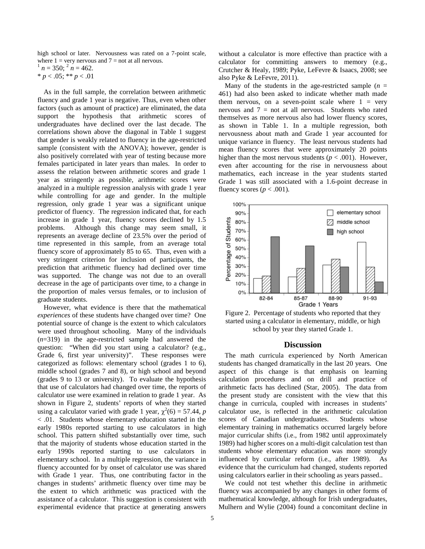high school or later. Nervousness was rated on a 7-point scale, where  $1 = \text{very}$  nervous and  $7 = \text{not}$  at all nervous.  $n = 350$ ;  $\frac{2}{n} = 462$ .

 $* p < .05; ** p < .01$ 

As in the full sample, the correlation between arithmetic fluency and grade 1 year is negative. Thus, even when other factors (such as amount of practice) are eliminated, the data support the hypothesis that arithmetic scores of undergraduates have declined over the last decade. The correlations shown above the diagonal in Table 1 suggest that gender is weakly related to fluency in the age-restricted sample (consistent with the ANOVA); however, gender is also positively correlated with year of testing because more females participated in later years than males. In order to assess the relation between arithmetic scores and grade 1 year as stringently as possible, arithmetic scores were analyzed in a multiple regression analysis with grade 1 year while controlling for age and gender. In the multiple regression, only grade 1 year was a significant unique predictor of fluency. The regression indicated that, for each increase in grade 1 year, fluency scores declined by 1.5 problems. Although this change may seem small, it represents an average decline of 23.5% over the period of time represented in this sample, from an average total fluency score of approximately 85 to 65. Thus, even with a very stringent criterion for inclusion of participants, the prediction that arithmetic fluency had declined over time was supported. The change was not due to an overall decrease in the age of participants over time, to a change in the proportion of males versus females, or to inclusion of graduate students.

However, what evidence is there that the mathematical *experiences* of these students have changed over time? One potential source of change is the extent to which calculators were used throughout schooling. Many of the individuals (*n*=319) in the age-restricted sample had answered the question: "When did you start using a calculator? (e.g., Grade 6, first year university)". These responses were categorized as follows: elementary school (grades 1 to 6), middle school (grades 7 and 8), or high school and beyond (grades 9 to 13 or university). To evaluate the hypothesis that use of calculators had changed over time, the reports of calculator use were examined in relation to grade 1 year. As shown in Figure 2, students' reports of when they started using a calculator varied with grade 1 year,  $\chi^2(6) = 57.44$ , *p* < .01. Students whose elementary education started in the early 1980s reported starting to use calculators in high school. This pattern shifted substantially over time, such that the majority of students whose education started in the early 1990s reported starting to use calculators in elementary school. In a multiple regression, the variance in fluency accounted for by onset of calculator use was shared with Grade 1 year. Thus, one contributing factor in the changes in students' arithmetic fluency over time may be the extent to which arithmetic was practiced with the assistance of a calculator. This suggestion is consistent with experimental evidence that practice at generating answers

without a calculator is more effective than practice with a calculator for committing answers to memory (e.g., Crutcher & Healy, 1989; Pyke, LeFevre & Isaacs, 2008; see also Pyke & LeFevre, 2011).

Many of the students in the age-restricted sample  $(n =$ 461) had also been asked to indicate whether math made them nervous, on a seven-point scale where  $1 = \text{very}$ nervous and  $7 =$  not at all nervous. Students who rated themselves as more nervous also had lower fluency scores, as shown in Table 1. In a multiple regression, both nervousness about math and Grade 1 year accounted for unique variance in fluency. The least nervous students had mean fluency scores that were approximately 20 points higher than the most nervous students ( $p < .001$ ). However, even after accounting for the rise in nervousness about mathematics, each increase in the year students started Grade 1 was still associated with a 1.6-point decrease in fluency scores ( $p < .001$ ).



Figure 2. Percentage of students who reported that they started using a calculator in elementary, middle, or high school by year they started Grade 1.

#### **Discussion**

The math curricula experienced by North American students has changed dramatically in the last 20 years. One aspect of this change is that emphasis on learning calculation procedures and on drill and practice of arithmetic facts has declined (Star, 2005). The data from the present study are consistent with the view that this change in curricula, coupled with increases in students' calculator use, is reflected in the arithmetic calculation scores of Canadian undergraduates. Students whose elementary training in mathematics occurred largely before major curricular shifts (i.e., from 1982 until approximately 1989) had higher scores on a multi-digit calculation test than students whose elementary education was more strongly influenced by curricular reform (i.e., after 1989). As evidence that the curriculum had changed, students reported using calculators earlier in their schooling as years passed..

We could not test whether this decline in arithmetic fluency was accompanied by any changes in other forms of mathematical knowledge, although for Irish undergraduates, Mulhern and Wylie (2004) found a concomitant decline in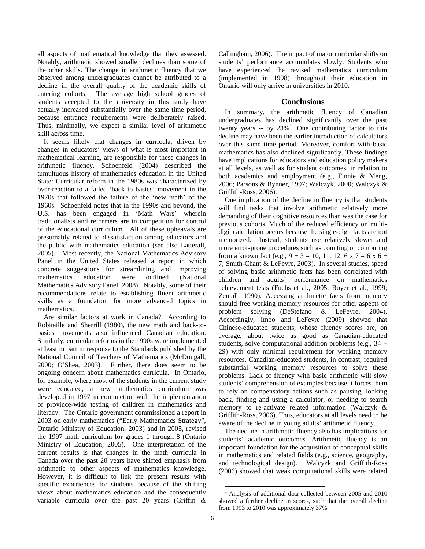all aspects of mathematical knowledge that they assessed. Notably, arithmetic showed smaller declines than some of the other skills. The change in arithmetic fluency that we observed among undergraduates cannot be attributed to a decline in the overall quality of the academic skills of entering cohorts. The average high school grades of students accepted to the university in this study have actually increased substantially over the same time period, because entrance requirements were deliberately raised. Thus, minimally, we expect a similar level of arithmetic skill across time.

It seems likely that changes in curricula, driven by changes in educators' views of what is most important in mathematical learning, are responsible for these changes in arithmetic fluency. Schoenfeld (2004) described the tumultuous history of mathematics education in the United State: Curricular reform in the 1980s was characterized by over-reaction to a failed 'back to basics' movement in the 1970s that followed the failure of the 'new math' of the 1960s. Schoenfeld notes that in the 1990s and beyond, the U.S. has been engaged in 'Math Wars' wherein traditionalists and reformers are in competition for control of the educational curriculum. All of these upheavals are presumably related to dissatisfaction among educators and the public with mathematics education (see also Latterall, 2005). Most recently, the National Mathematics Advisory Panel in the United States released a report in which concrete suggestions for streamlining and improving mathematics education were outlined (National Mathematics Advisory Panel, 2008). Notably, some of their recommendations relate to establishing fluent arithmetic skills as a foundation for more advanced topics in mathematics.

<span id="page-5-0"></span>Are similar factors at work in Canada? According to Robitaille and Sherrill (1980), the new math and back-tobasics movements also influenced Canadian education. Similarly, curricular reforms in the 1990s were implemented at least in part in response to the Standards published by the National Council of Teachers of Mathematics (McDougall, 2000; O'Shea, 2003). Further, there does seem to be ongoing concern about mathematics curricula. In Ontario, for example, where most of the students in the current study were educated, a new mathematics curriculum was developed in 1997 in conjunction with the implementation of province-wide testing of children in mathematics and literacy. The Ontario government commissioned a report in 2003 on early mathematics ("Early Mathematics Strategy", Ontario Ministry of Education, 2003) and in 2005, revised the 1997 math curriculum for grades 1 through 8 (Ontario Ministry of Education, 2005). One interpretation of the current results is that changes in the math curricula in Canada over the past 20 years have shifted emphasis from arithmetic to other aspects of mathematics knowledge. However, it is difficult to link the present results with specific experiences for students because of the shifting views about mathematics education and the consequently variable curricula over the past 20 years (Griffin &

Callingham, 2006). The impact of major curricular shifts on students' performance accumulates slowly. Students who have experienced the revised mathematics curriculum (implemented in 1998) throughout their education in Ontario will only arrive in universities in 2010.

## **Conclusions**

In summary, the arithmetic fluency of Canadian undergraduates has declined significantly over the past twenty years  $-$  by 23%<sup>[1](#page-5-0)</sup>. One contributing factor to this decline may have been the earlier introduction of calculators over this same time period. Moreover, comfort with basic mathematics has also declined significantly. These findings have implications for educators and education policy makers at all levels, as well as for student outcomes, in relation to both academics and employment (e.g., Finnie & Meng, 2006; Parsons & Bynner, 1997; Walczyk, 2000; Walczyk & Griffith-Ross, 2006).

One implication of the decline in fluency is that students will find tasks that involve arithmetic relatively more demanding of their cognitive resources than was the case for previous cohorts. Much of the reduced efficiency on multidigit calculation occurs because the single-digit facts are not memorized. Instead, students use relatively slower and more error-prone procedures such as counting or computing from a known fact (e.g.,  $9 + 3 = 10$ , 11, 12; 6 x 7 = 6 x 6 + 7; Smith-Chant & LeFevre, 2003). In several studies, speed of solving basic arithmetic facts has been correlated with children and adults' performance on mathematics achievement tests (Fuchs et al., 2005; Royer et al., 1999; Zentall, 1990). Accessing arithmetic facts from memory should free working memory resources for other aspects of problem solving (DeStefano & LeFevre, 2004). Accordingly, Imbo and LeFevre (2009) showed that Chinese-educated students, whose fluency scores are, on average, about twice as good as Canadian-educated students, solve computational addition problems (e.g., 34 + 29) with only minimal requirement for working memory resources. Canadian-educated students, in contrast, required substantial working memory resources to solve these problems. Lack of fluency with basic arithmetic will slow students' comprehension of examples because it forces them to rely on compensatory actions such as pausing, looking back, finding and using a calculator, or needing to search memory to re-activate related information (Walczyk & Griffith-Ross, 2006). Thus, educators at all levels need to be aware of the decline in young adults' arithmetic fluency.

The decline in arithmetic fluency also has implications for students' academic outcomes. Arithmetic fluency is an important foundation for the acquisition of conceptual skills in mathematics and related fields (e.g., science, geography, and technological design). Walcyzk and Griffith-Ross (2006) showed that weak computational skills were related

<sup>1</sup> Analysis of additional data collected between 2005 and 2010 showed a further decline in scores, such that the overall decline from 1993 to 2010 was approximately 37%.  $\overline{a}$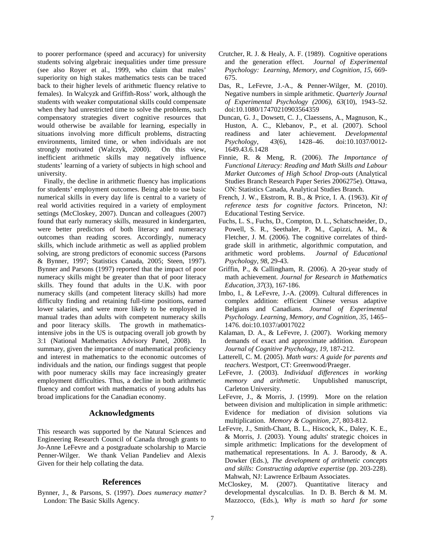to poorer performance (speed and accuracy) for university students solving algebraic inequalities under time pressure (see also Royer et al., 1999, who claim that males' superiority on high stakes mathematics tests can be traced back to their higher levels of arithmetic fluency relative to females). In Walcyzk and Griffith-Ross' work, although the students with weaker computational skills could compensate when they had unrestricted time to solve the problems, such compensatory strategies divert cognitive resources that would otherwise be available for learning, especially in situations involving more difficult problems, distracting environments, limited time, or when individuals are not strongly motivated (Walczyk, 2000). On this view, inefficient arithmetic skills may negatively influence students' learning of a variety of subjects in high school and university.

Finally, the decline in arithmetic fluency has implications for students' employment outcomes. Being able to use basic numerical skills in every day life is central to a variety of real world activities required in a variety of employment settings (McCloskey, 2007). Duncan and colleagues (2007) found that early numeracy skills, measured in kindergarten, were better predictors of both literacy and numeracy outcomes than reading scores. Accordingly, numeracy skills, which include arithmetic as well as applied problem solving, are strong predictors of economic success (Parsons & Bynner, 1997; Statistics Canada, 2005; Steen, 1997). Bynner and Parsons (1997) reported that the impact of poor numeracy skills might be greater than that of poor literacy skills. They found that adults in the U.K. with poor numeracy skills (and competent literacy skills) had more difficulty finding and retaining full-time positions, earned lower salaries, and were more likely to be employed in manual trades than adults with competent numeracy skills and poor literacy skills. The growth in mathematicsintensive jobs in the US is outpacing overall job growth by 3:1 (National Mathematics Advisory Panel, 2008). In summary, given the importance of mathematical proficiency and interest in mathematics to the economic outcomes of individuals and the nation, our findings suggest that people with poor numeracy skills may face increasingly greater employment difficulties. Thus, a decline in both arithmetic fluency and comfort with mathematics of young adults has broad implications for the Canadian economy.

## **Acknowledgments**

This research was supported by the Natural Sciences and Engineering Research Council of Canada through grants to Jo-Anne LeFevre and a postgraduate scholarship to Marcie Penner-Wilger. We thank Velian Pandeliev and Alexis Given for their help collating the data.

## **References**

Bynner, J., & Parsons, S. (1997). *Does numeracy matter?* London: The Basic Skills Agency.

- Crutcher, R. J. & Healy, A. F. (1989). Cognitive operations and the generation effect. *Journal of Experimental Psychology: Learning, Memory, and Cognition, 15,* 669- 675.
- Das, R., LeFevre, J.-A., & Penner-Wilger, M. (2010). Negative numbers in simple arithmetic. *Quarterly Journal of Experimental Psychology (2006)*, *63*(10), 1943–52. doi:10.1080/17470210903564359
- Duncan, G. J., Dowsett, C. J., Claessens, A., Magnuson, K., Huston, A. C., Klebanov, P., et al. (2007). School readiness and later achievement. *Developmental Psychology*, *43*(6), 1428–46. doi:10.1037/0012- 1649.43.6.1428
- Finnie, R. & Meng, R. (2006). *The Importance of Functional Literacy: Reading and Math Skills and Labour Market Outcomes of High School Drop-outs* (Analytical Studies Branch Research Paper Series 2006275e). Ottawa, ON: Statistics Canada, Analytical Studies Branch.
- French, J. W., Ekstrom, R. B., & Price, I. A. (1963). *Kit of reference tests for cognitive factors*. Princeton, NJ: Educational Testing Service.
- Fuchs, L. S., Fuchs, D., Compton, D. L., Schatschneider, D., Powell, S. R., Seethaler, P. M., Capizzi, A. M., & Fletcher, J. M. (2006). The cognitive correlates of thirdgrade skill in arithmetic, algorithmic computation, and arithmetic word problems. *Journal of Educational Psychology, 98*, 29-43.
- Griffin, P., & Callingham, R. (2006). A 20-year study of math achievement. *Journal for Research in Mathematics Education, 37*(3), 167-186.
- Imbo, I., & LeFevre, J.-A. (2009). Cultural differences in complex addition: efficient Chinese versus adaptive Belgians and Canadians. *Journal of Experimental Psychology. Learning, Memory, and Cognition*, *35*, 1465– 1476. doi:10.1037/a0017022
- Kalaman, D. A., & LeFevre, J. (2007). Working memory demands of exact and approximate addition. *European Journal of Cognitive Psychology, 19,* 187-212.
- Latterell, C. M. (2005). *Math wars: A guide for parents and teachers*. Westport, CT: Greenwood/Praeger.
- LeFevre, J. (2003). *Individual differences in working memory and arithmetic.* Unpublished manuscript, Carleton University.
- LeFevre, J., & Morris, J. (1999). More on the relation between division and multiplication in simple arithmetic: Evidence for mediation of division solutions via multiplication. *Memory & Cognition*, *27*, 803-812.
- LeFevre, J., Smith-Chant, B. L., Hiscock, K., Daley, K. E., & Morris, J. (2003). Young adults' strategic choices in simple arithmetic: Implications for the development of mathematical representations. In A. J. Baroody, & A. Dowker (Eds.), *The development of arithmetic concepts and skills: Constructing adaptive expertise* (pp. 203-228). Mahwah, NJ: Lawrence Erlbaum Associates.
- McCloskey, M. (2007). Quantitative literacy and developmental dyscalculias. In D. B. Berch & M. M. Mazzocco, (Eds.), *Why is math so hard for some*